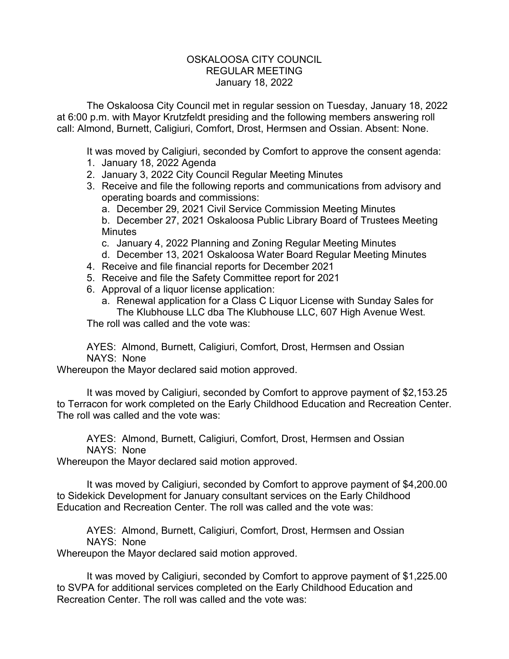## OSKALOOSA CITY COUNCIL REGULAR MEETING January 18, 2022

The Oskaloosa City Council met in regular session on Tuesday, January 18, 2022 at 6:00 p.m. with Mayor Krutzfeldt presiding and the following members answering roll call: Almond, Burnett, Caligiuri, Comfort, Drost, Hermsen and Ossian. Absent: None.

It was moved by Caligiuri, seconded by Comfort to approve the consent agenda:

- 1. January 18, 2022 Agenda
- 2. January 3, 2022 City Council Regular Meeting Minutes
- 3. Receive and file the following reports and communications from advisory and operating boards and commissions:
	- a. December 29, 2021 Civil Service Commission Meeting Minutes

b. December 27, 2021 Oskaloosa Public Library Board of Trustees Meeting **Minutes** 

- c. January 4, 2022 Planning and Zoning Regular Meeting Minutes
- d. December 13, 2021 Oskaloosa Water Board Regular Meeting Minutes
- 4. Receive and file financial reports for December 2021
- 5. Receive and file the Safety Committee report for 2021
- 6. Approval of a liquor license application:
	- a. Renewal application for a Class C Liquor License with Sunday Sales for The Klubhouse LLC dba The Klubhouse LLC, 607 High Avenue West.

The roll was called and the vote was:

AYES: Almond, Burnett, Caligiuri, Comfort, Drost, Hermsen and Ossian NAYS: None

Whereupon the Mayor declared said motion approved.

It was moved by Caligiuri, seconded by Comfort to approve payment of \$2,153.25 to Terracon for work completed on the Early Childhood Education and Recreation Center. The roll was called and the vote was:

AYES: Almond, Burnett, Caligiuri, Comfort, Drost, Hermsen and Ossian NAYS: None

Whereupon the Mayor declared said motion approved.

It was moved by Caligiuri, seconded by Comfort to approve payment of \$4,200.00 to Sidekick Development for January consultant services on the Early Childhood Education and Recreation Center. The roll was called and the vote was:

AYES: Almond, Burnett, Caligiuri, Comfort, Drost, Hermsen and Ossian NAYS: None

Whereupon the Mayor declared said motion approved.

It was moved by Caligiuri, seconded by Comfort to approve payment of \$1,225.00 to SVPA for additional services completed on the Early Childhood Education and Recreation Center. The roll was called and the vote was: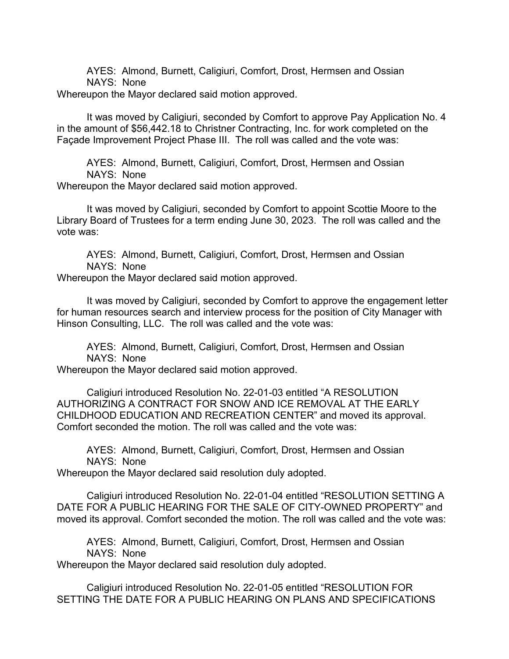AYES: Almond, Burnett, Caligiuri, Comfort, Drost, Hermsen and Ossian NAYS: None

Whereupon the Mayor declared said motion approved.

It was moved by Caligiuri, seconded by Comfort to approve Pay Application No. 4 in the amount of \$56,442.18 to Christner Contracting, Inc. for work completed on the Façade Improvement Project Phase III. The roll was called and the vote was:

AYES: Almond, Burnett, Caligiuri, Comfort, Drost, Hermsen and Ossian NAYS: None Whereupon the Mayor declared said motion approved.

It was moved by Caligiuri, seconded by Comfort to appoint Scottie Moore to the Library Board of Trustees for a term ending June 30, 2023. The roll was called and the vote was:

AYES: Almond, Burnett, Caligiuri, Comfort, Drost, Hermsen and Ossian NAYS: None

Whereupon the Mayor declared said motion approved.

It was moved by Caligiuri, seconded by Comfort to approve the engagement letter for human resources search and interview process for the position of City Manager with Hinson Consulting, LLC. The roll was called and the vote was:

AYES: Almond, Burnett, Caligiuri, Comfort, Drost, Hermsen and Ossian NAYS: None

Whereupon the Mayor declared said motion approved.

Caligiuri introduced Resolution No. 22-01-03 entitled "A RESOLUTION AUTHORIZING A CONTRACT FOR SNOW AND ICE REMOVAL AT THE EARLY CHILDHOOD EDUCATION AND RECREATION CENTER" and moved its approval. Comfort seconded the motion. The roll was called and the vote was:

AYES: Almond, Burnett, Caligiuri, Comfort, Drost, Hermsen and Ossian NAYS: None

Whereupon the Mayor declared said resolution duly adopted.

Caligiuri introduced Resolution No. 22-01-04 entitled "RESOLUTION SETTING A DATE FOR A PUBLIC HEARING FOR THE SALE OF CITY-OWNED PROPERTY" and moved its approval. Comfort seconded the motion. The roll was called and the vote was:

AYES: Almond, Burnett, Caligiuri, Comfort, Drost, Hermsen and Ossian NAYS: None

Whereupon the Mayor declared said resolution duly adopted.

Caligiuri introduced Resolution No. 22-01-05 entitled "RESOLUTION FOR SETTING THE DATE FOR A PUBLIC HEARING ON PLANS AND SPECIFICATIONS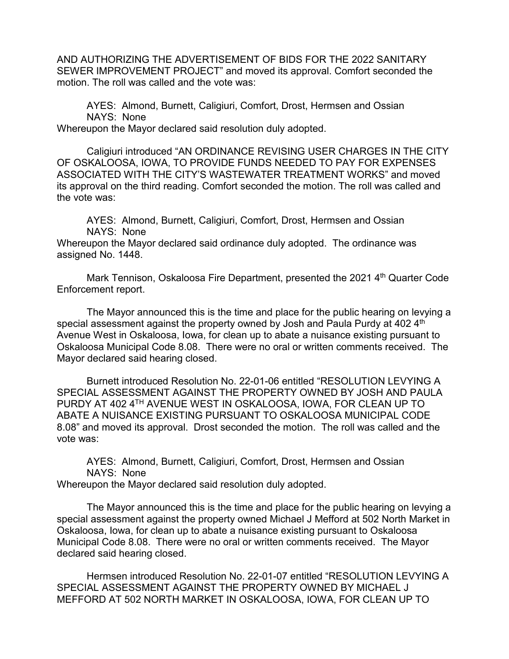AND AUTHORIZING THE ADVERTISEMENT OF BIDS FOR THE 2022 SANITARY SEWER IMPROVEMENT PROJECT" and moved its approval. Comfort seconded the motion. The roll was called and the vote was:

AYES: Almond, Burnett, Caligiuri, Comfort, Drost, Hermsen and Ossian NAYS: None Whereupon the Mayor declared said resolution duly adopted.

Caligiuri introduced "AN ORDINANCE REVISING USER CHARGES IN THE CITY OF OSKALOOSA, IOWA, TO PROVIDE FUNDS NEEDED TO PAY FOR EXPENSES ASSOCIATED WITH THE CITY'S WASTEWATER TREATMENT WORKS" and moved its approval on the third reading. Comfort seconded the motion. The roll was called and the vote was:

AYES: Almond, Burnett, Caligiuri, Comfort, Drost, Hermsen and Ossian NAYS: None

Whereupon the Mayor declared said ordinance duly adopted. The ordinance was assigned No. 1448.

Mark Tennison, Oskaloosa Fire Department, presented the 2021 4<sup>th</sup> Quarter Code Enforcement report.

The Mayor announced this is the time and place for the public hearing on levying a special assessment against the property owned by Josh and Paula Purdy at 402 4<sup>th</sup> Avenue West in Oskaloosa, Iowa, for clean up to abate a nuisance existing pursuant to Oskaloosa Municipal Code 8.08. There were no oral or written comments received. The Mayor declared said hearing closed.

Burnett introduced Resolution No. 22-01-06 entitled "RESOLUTION LEVYING A SPECIAL ASSESSMENT AGAINST THE PROPERTY OWNED BY JOSH AND PAULA PURDY AT 402 4TH AVENUE WEST IN OSKALOOSA, IOWA, FOR CLEAN UP TO ABATE A NUISANCE EXISTING PURSUANT TO OSKALOOSA MUNICIPAL CODE 8.08" and moved its approval. Drost seconded the motion. The roll was called and the vote was:

AYES: Almond, Burnett, Caligiuri, Comfort, Drost, Hermsen and Ossian NAYS: None Whereupon the Mayor declared said resolution duly adopted.

The Mayor announced this is the time and place for the public hearing on levying a special assessment against the property owned Michael J Mefford at 502 North Market in Oskaloosa, Iowa, for clean up to abate a nuisance existing pursuant to Oskaloosa Municipal Code 8.08. There were no oral or written comments received. The Mayor declared said hearing closed.

Hermsen introduced Resolution No. 22-01-07 entitled "RESOLUTION LEVYING A SPECIAL ASSESSMENT AGAINST THE PROPERTY OWNED BY MICHAEL J MEFFORD AT 502 NORTH MARKET IN OSKALOOSA, IOWA, FOR CLEAN UP TO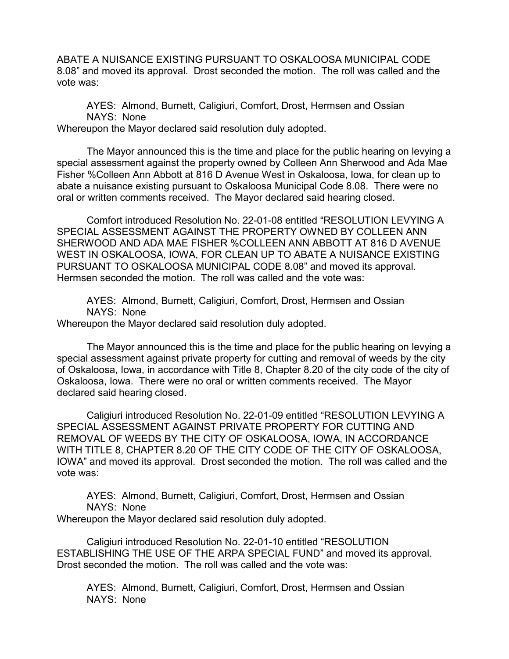ABATE A NUISANCE EXISTING PURSUANT TO OSKALOOSA MUNICIPAL CODE 8.08" and moved its approval. Drost seconded the motion. The roll was called and the vote was:

AYES: Almond, Burnett, Caligiuri, Comfort, Drost, Hermsen and Ossian NAYS: None Whereupon the Mayor declared said resolution duly adopted.

The Mayor announced this is the time and place for the public hearing on levying a special assessment against the property owned by Colleen Ann Sherwood and Ada Mae Fisher %Colleen Ann Abbott at 816 D Avenue West in Oskaloosa, Iowa, for clean up to abate a nuisance existing pursuant to Oskaloosa Municipal Code 8.08. There were no oral or written comments received. The Mayor declared said hearing closed.

Comfort introduced Resolution No. 22-01-08 entitled "RESOLUTION LEVYING A SPECIAL ASSESSMENT AGAINST THE PROPERTY OWNED BY COLLEEN ANN SHERWOOD AND ADA MAE FISHER %COLLEEN ANN ABBOTT AT 816 D AVENUE WEST IN OSKALOOSA, IOWA, FOR CLEAN UP TO ABATE A NUISANCE EXISTING PURSUANT TO OSKALOOSA MUNICIPAL CODE 8.08" and moved its approval. Hermsen seconded the motion. The roll was called and the vote was:

AYES: Almond, Burnett, Caligiuri, Comfort, Drost, Hermsen and Ossian NAYS: None

Whereupon the Mayor declared said resolution duly adopted.

The Mayor announced this is the time and place for the public hearing on levying a special assessment against private property for cutting and removal of weeds by the city of Oskaloosa, Iowa, in accordance with Title 8, Chapter 8.20 of the city code of the city of Oskaloosa, Iowa. There were no oral or written comments received. The Mayor declared said hearing closed.

Caligiuri introduced Resolution No. 22-01-09 entitled "RESOLUTION LEVYING A SPECIAL ASSESSMENT AGAINST PRIVATE PROPERTY FOR CUTTING AND REMOVAL OF WEEDS BY THE CITY OF OSKALOOSA, IOWA, IN ACCORDANCE WITH TITLE 8, CHAPTER 8.20 OF THE CITY CODE OF THE CITY OF OSKALOOSA, IOWA" and moved its approval. Drost seconded the motion. The roll was called and the vote was:

AYES: Almond, Burnett, Caligiuri, Comfort, Drost, Hermsen and Ossian NAYS: None

Whereupon the Mayor declared said resolution duly adopted.

Caligiuri introduced Resolution No. 22-01-10 entitled "RESOLUTION ESTABLISHING THE USE OF THE ARPA SPECIAL FUND" and moved its approval. Drost seconded the motion. The roll was called and the vote was:

AYES: Almond, Burnett, Caligiuri, Comfort, Drost, Hermsen and Ossian NAYS: None